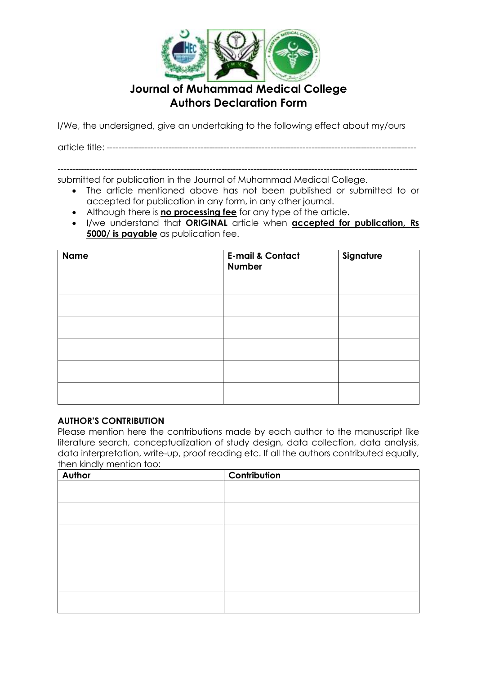

I/We, the undersigned, give an undertaking to the following effect about my/ours

article title: ----------------------------------------------------------------------------------------------------------

-------------------------------------------------------------------------------------------------------------------------- submitted for publication in the Journal of Muhammad Medical College.

- The article mentioned above has not been published or submitted to or accepted for publication in any form, in any other journal.
- Although there is **no processing fee** for any type of the article.
- I/we understand that **ORIGINAL** article when **accepted for publication, Rs 5000/ is payable** as publication fee.

| <b>Name</b> | <b>E-mail &amp; Contact</b><br><b>Number</b> | Signature |
|-------------|----------------------------------------------|-----------|
|             |                                              |           |
|             |                                              |           |
|             |                                              |           |
|             |                                              |           |
|             |                                              |           |
|             |                                              |           |

#### **AUTHOR'S CONTRIBUTION**

Please mention here the contributions made by each author to the manuscript like literature search, conceptualization of study design, data collection, data analysis, data interpretation, write-up, proof reading etc. If all the authors contributed equally, then kindly mention too:

| Author | Contribution |
|--------|--------------|
|        |              |
|        |              |
|        |              |
|        |              |
|        |              |
|        |              |